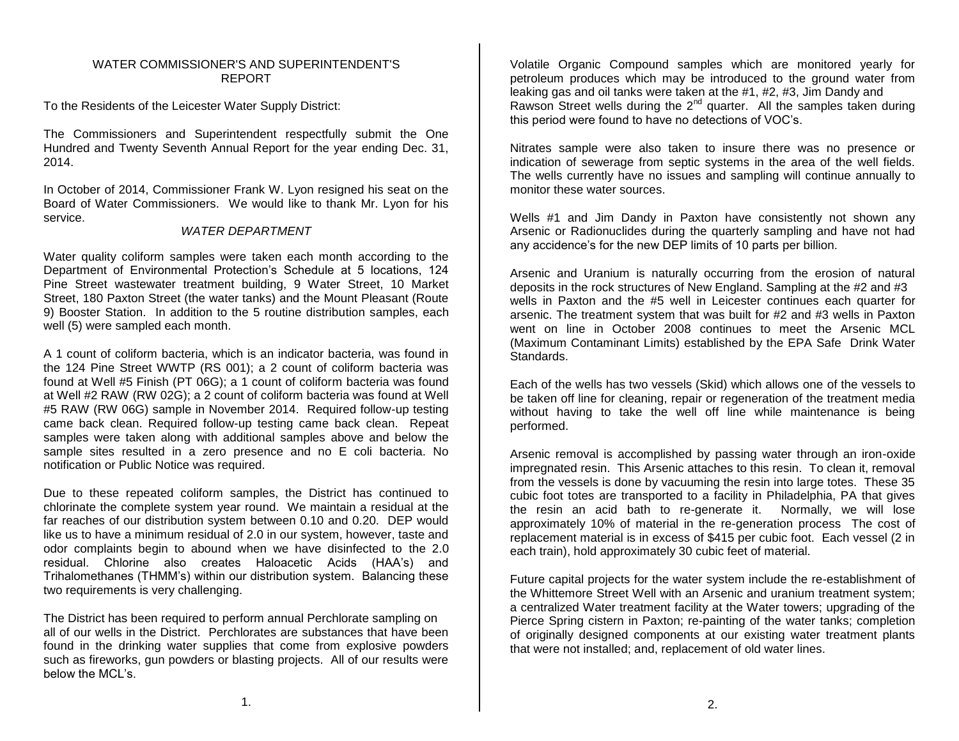# WATER COMMISSIONER'S AND SUPERINTENDENT'S REPORT

To the Residents of the Leicester Water Supply District:

The Commissioners and Superintendent respectfully submit the One Hundred and Twenty Seventh Annual Report for the year ending Dec. 31, 2014.

In October of 2014, Commissioner Frank W. Lyon resigned his seat on the Board of Water Commissioners. We would like to thank Mr. Lyon for his service.

# *WATER DEPARTMENT*

Water quality coliform samples were taken each month according to the Department of Environmental Protection's Schedule at 5 locations, 124 Pine Street wastewater treatment building, 9 Water Street, 10 Market Street, 180 Paxton Street (the water tanks) and the Mount Pleasant (Route 9) Booster Station. In addition to the 5 routine distribution samples, each well (5) were sampled each month.

A 1 count of coliform bacteria, which is an indicator bacteria, was found in the 124 Pine Street WWTP (RS 001); a 2 count of coliform bacteria was found at Well #5 Finish (PT 06G); a 1 count of coliform bacteria was found at Well #2 RAW (RW 02G); a 2 count of coliform bacteria was found at Well #5 RAW (RW 06G) sample in November 2014. Required follow-up testing came back clean. Required follow-up testing came back clean. Repeat samples were taken along with additional samples above and below the sample sites resulted in a zero presence and no E coli bacteria. No notification or Public Notice was required.

Due to these repeated coliform samples, the District has continued to chlorinate the complete system year round. We maintain a residual at the far reaches of our distribution system between 0.10 and 0.20. DEP would like us to have a minimum residual of 2.0 in our system, however, taste and odor complaints begin to abound when we have disinfected to the 2.0 residual. Chlorine also creates Haloacetic Acids (HAA's) and Trihalomethanes (THMM's) within our distribution system. Balancing these two requirements is very challenging.

The District has been required to perform annual Perchlorate sampling on all of our wells in the District. Perchlorates are substances that have been found in the drinking water supplies that come from explosive powders such as fireworks, gun powders or blasting projects. All of our results were below the MCL's.

Volatile Organic Compound samples which are monitored yearly for petroleum produces which may be introduced to the ground water from leaking gas and oil tanks were taken at the #1, #2, #3, Jim Dandy and Rawson Street wells during the 2<sup>nd</sup> quarter. All the samples taken during this period were found to have no detections of VOC's.

Nitrates sample were also taken to insure there was no presence or indication of sewerage from septic systems in the area of the well fields. The wells currently have no issues and sampling will continue annually to monitor these water sources.

Wells #1 and Jim Dandy in Paxton have consistently not shown any Arsenic or Radionuclides during the quarterly sampling and have not had any accidence's for the new DEP limits of 10 parts per billion.

Arsenic and Uranium is naturally occurring from the erosion of natural deposits in the rock structures of New England. Sampling at the #2 and #3 wells in Paxton and the #5 well in Leicester continues each quarter for arsenic. The treatment system that was built for #2 and #3 wells in Paxton went on line in October 2008 continues to meet the Arsenic MCL (Maximum Contaminant Limits) established by the EPA Safe Drink Water Standards.

Each of the wells has two vessels (Skid) which allows one of the vessels to be taken off line for cleaning, repair or regeneration of the treatment media without having to take the well off line while maintenance is being performed.

Arsenic removal is accomplished by passing water through an iron-oxide impregnated resin. This Arsenic attaches to this resin. To clean it, removal from the vessels is done by vacuuming the resin into large totes. These 35 cubic foot totes are transported to a facility in Philadelphia, PA that gives the resin an acid bath to re-generate it. Normally, we will lose approximately 10% of material in the re-generation process The cost of replacement material is in excess of \$415 per cubic foot. Each vessel (2 in each train), hold approximately 30 cubic feet of material.

Future capital projects for the water system include the re-establishment of the Whittemore Street Well with an Arsenic and uranium treatment system; a centralized Water treatment facility at the Water towers; upgrading of the Pierce Spring cistern in Paxton; re-painting of the water tanks; completion of originally designed components at our existing water treatment plants that were not installed; and, replacement of old water lines.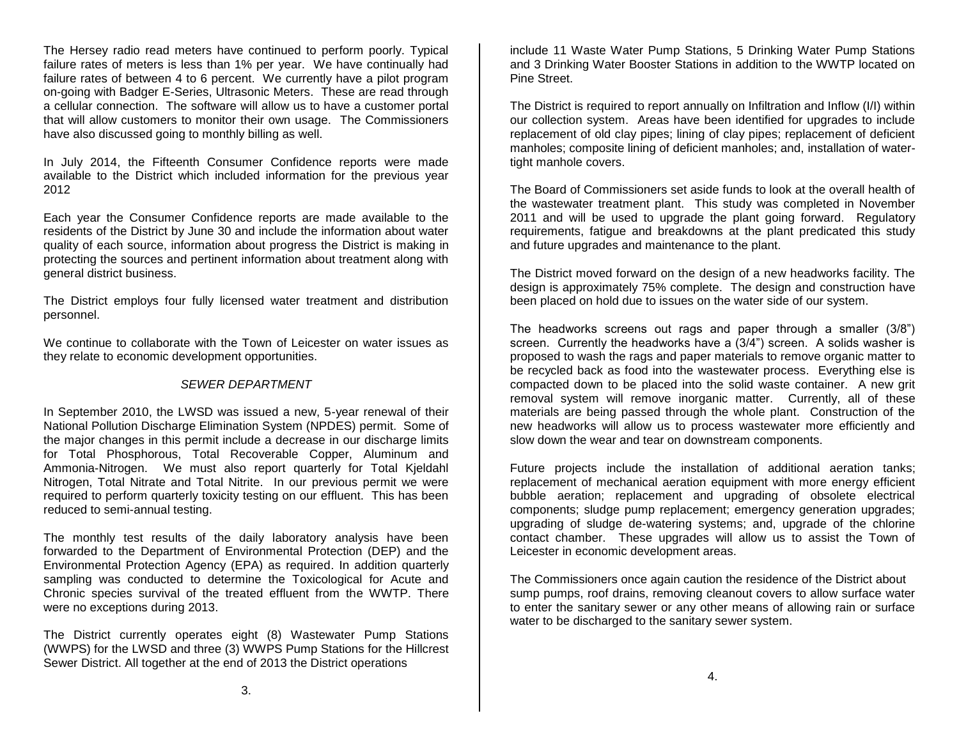The Hersey radio read meters have continued to perform poorly. Typical failure rates of meters is less than 1% per year. We have continually had failure rates of between 4 to 6 percent. We currently have a pilot program on-going with Badger E-Series, Ultrasonic Meters. These are read through a cellular connection. The software will allow us to have a customer portal that will allow customers to monitor their own usage. The Commissioners have also discussed going to monthly billing as well.

In July 2014, the Fifteenth Consumer Confidence reports were made available to the District which included information for the previous year 2012

Each year the Consumer Confidence reports are made available to the residents of the District by June 30 and include the information about water quality of each source, information about progress the District is making in protecting the sources and pertinent information about treatment along with general district business.

The District employs four fully licensed water treatment and distribution personnel.

We continue to collaborate with the Town of Leicester on water issues as they relate to economic development opportunities.

# *SEWER DEPARTMENT*

In September 2010, the LWSD was issued a new, 5-year renewal of their National Pollution Discharge Elimination System (NPDES) permit. Some of the major changes in this permit include a decrease in our discharge limits for Total Phosphorous, Total Recoverable Copper, Aluminum and Ammonia-Nitrogen. We must also report quarterly for Total Kjeldahl Nitrogen, Total Nitrate and Total Nitrite. In our previous permit we were required to perform quarterly toxicity testing on our effluent. This has been reduced to semi-annual testing.

The monthly test results of the daily laboratory analysis have been forwarded to the Department of Environmental Protection (DEP) and the Environmental Protection Agency (EPA) as required. In addition quarterly sampling was conducted to determine the Toxicological for Acute and Chronic species survival of the treated effluent from the WWTP. There were no exceptions during 2013.

The District currently operates eight (8) Wastewater Pump Stations (WWPS) for the LWSD and three (3) WWPS Pump Stations for the Hillcrest Sewer District. All together at the end of 2013 the District operations

include 11 Waste Water Pump Stations, 5 Drinking Water Pump Stations and 3 Drinking Water Booster Stations in addition to the WWTP located on Pine Street.

The District is required to report annually on Infiltration and Inflow (I/I) within our collection system. Areas have been identified for upgrades to include replacement of old clay pipes; lining of clay pipes; replacement of deficient manholes; composite lining of deficient manholes; and, installation of watertight manhole covers.

The Board of Commissioners set aside funds to look at the overall health of the wastewater treatment plant. This study was completed in November 2011 and will be used to upgrade the plant going forward. Regulatory requirements, fatigue and breakdowns at the plant predicated this study and future upgrades and maintenance to the plant.

The District moved forward on the design of a new headworks facility. The design is approximately 75% complete. The design and construction have been placed on hold due to issues on the water side of our system.

The headworks screens out rags and paper through a smaller (3/8") screen. Currently the headworks have a (3/4") screen. A solids washer is proposed to wash the rags and paper materials to remove organic matter to be recycled back as food into the wastewater process. Everything else is compacted down to be placed into the solid waste container. A new grit removal system will remove inorganic matter. Currently, all of these materials are being passed through the whole plant. Construction of the new headworks will allow us to process wastewater more efficiently and slow down the wear and tear on downstream components.

Future projects include the installation of additional aeration tanks; replacement of mechanical aeration equipment with more energy efficient bubble aeration; replacement and upgrading of obsolete electrical components; sludge pump replacement; emergency generation upgrades; upgrading of sludge de-watering systems; and, upgrade of the chlorine contact chamber. These upgrades will allow us to assist the Town of Leicester in economic development areas.

The Commissioners once again caution the residence of the District about sump pumps, roof drains, removing cleanout covers to allow surface water to enter the sanitary sewer or any other means of allowing rain or surface water to be discharged to the sanitary sewer system.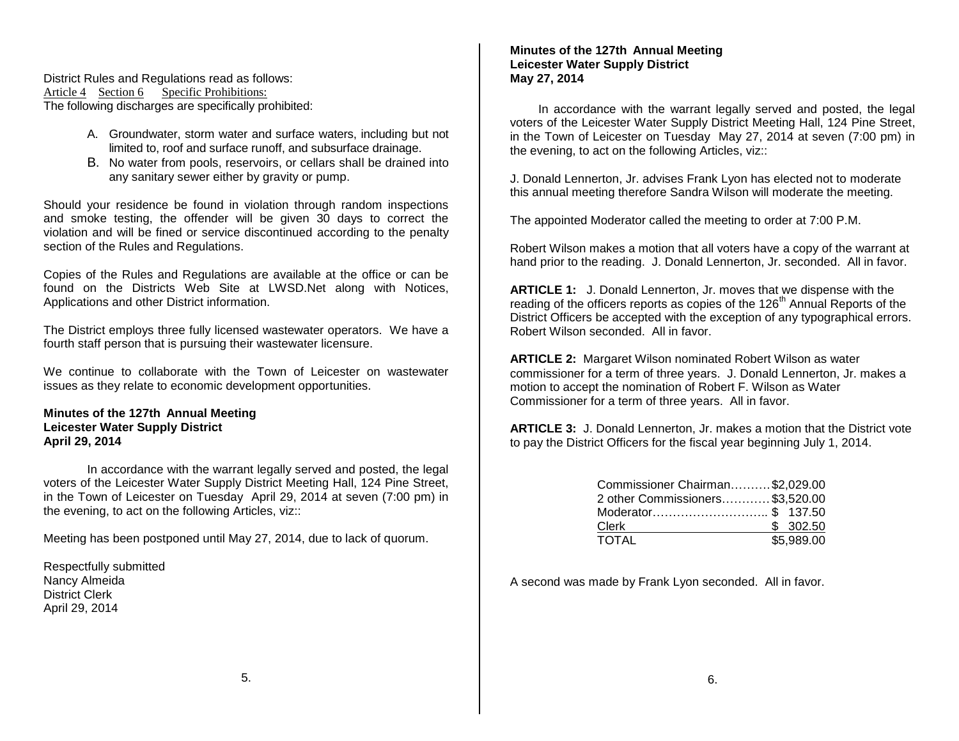District Rules and Regulations read as follows: Article 4 Section 6 Specific Prohibitions: The following discharges are specifically prohibited:

- A. Groundwater, storm water and surface waters, including but not limited to, roof and surface runoff, and subsurface drainage.
- B. No water from pools, reservoirs, or cellars shall be drained into any sanitary sewer either by gravity or pump.

Should your residence be found in violation through random inspections and smoke testing, the offender will be given 30 days to correct the violation and will be fined or service discontinued according to the penalty section of the Rules and Regulations.

Copies of the Rules and Regulations are available at the office or can be found on the Districts Web Site at LWSD.Net along with Notices, Applications and other District information.

The District employs three fully licensed wastewater operators. We have a fourth staff person that is pursuing their wastewater licensure.

We continue to collaborate with the Town of Leicester on wastewater issues as they relate to economic development opportunities.

**Minutes of the 127th Annual Meeting Leicester Water Supply District April 29, 2014**

In accordance with the warrant legally served and posted, the legal voters of the Leicester Water Supply District Meeting Hall, 124 Pine Street, in the Town of Leicester on Tuesday April 29, 2014 at seven (7:00 pm) in the evening, to act on the following Articles, viz::

Meeting has been postponed until May 27, 2014, due to lack of quorum.

Respectfully submitted Nancy Almeida District Clerk April 29, 2014

# **Minutes of the 127th Annual Meeting Leicester Water Supply District May 27, 2014**

 In accordance with the warrant legally served and posted, the legal voters of the Leicester Water Supply District Meeting Hall, 124 Pine Street, in the Town of Leicester on Tuesday May 27, 2014 at seven (7:00 pm) in the evening, to act on the following Articles, viz::

J. Donald Lennerton, Jr. advises Frank Lyon has elected not to moderate this annual meeting therefore Sandra Wilson will moderate the meeting.

The appointed Moderator called the meeting to order at 7:00 P.M.

Robert Wilson makes a motion that all voters have a copy of the warrant at hand prior to the reading. J. Donald Lennerton, Jr. seconded. All in favor.

**ARTICLE 1:** J. Donald Lennerton, Jr. moves that we dispense with the reading of the officers reports as copies of the 126<sup>th</sup> Annual Reports of the District Officers be accepted with the exception of any typographical errors. Robert Wilson seconded. All in favor.

**ARTICLE 2:** Margaret Wilson nominated Robert Wilson as water commissioner for a term of three years. J. Donald Lennerton, Jr. makes a motion to accept the nomination of Robert F. Wilson as Water Commissioner for a term of three years. All in favor.

**ARTICLE 3:** J. Donald Lennerton, Jr. makes a motion that the District vote to pay the District Officers for the fiscal year beginning July 1, 2014.

| Commissioner Chairman\$2,029.00 |            |
|---------------------------------|------------|
| 2 other Commissioners\$3,520.00 |            |
| Moderator\$ 137.50              |            |
| Clerk                           | \$302.50   |
| <b>TOTAL</b>                    | \$5,989.00 |

A second was made by Frank Lyon seconded. All in favor.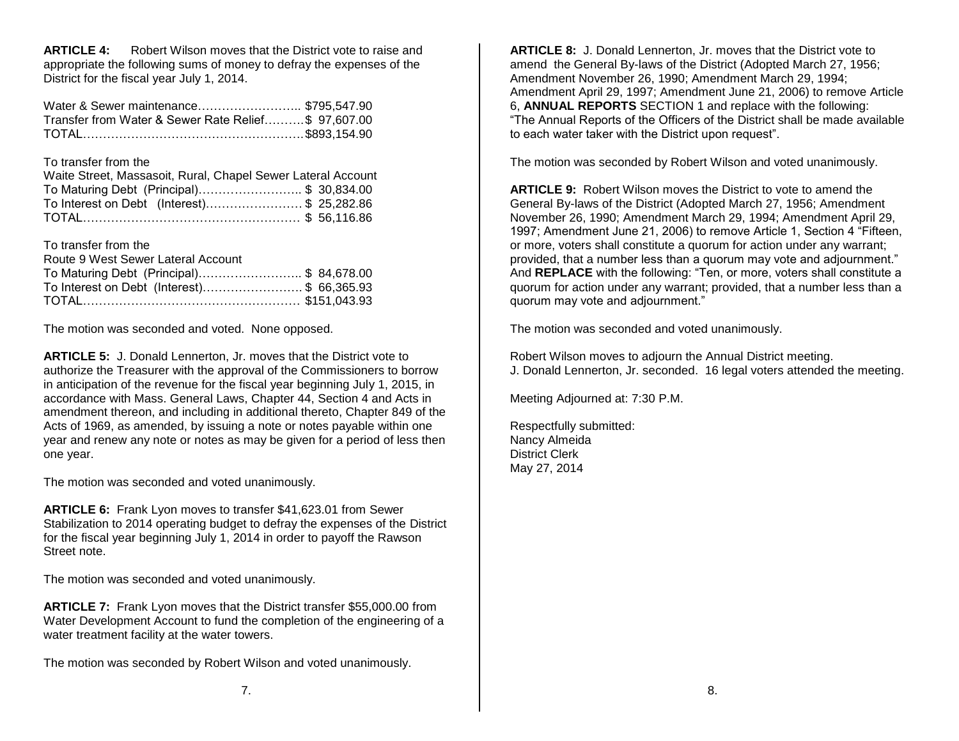**ARTICLE 4:** Robert Wilson moves that the District vote to raise and appropriate the following sums of money to defray the expenses of the District for the fiscal year July 1, 2014.

| Water & Sewer maintenance \$795,547.90              |  |
|-----------------------------------------------------|--|
| Transfer from Water & Sewer Rate Relief\$ 97,607.00 |  |
|                                                     |  |

#### To transfer from the

| Waite Street, Massasoit, Rural, Chapel Sewer Lateral Account |  |
|--------------------------------------------------------------|--|
| To Maturing Debt (Principal)\$ 30,834.00                     |  |
| To Interest on Debt (Interest)\$ 25,282.86                   |  |
|                                                              |  |

To transfer from the

| Route 9 West Sewer Lateral Account         |  |
|--------------------------------------------|--|
| To Maturing Debt (Principal)\$ 84,678.00   |  |
| To Interest on Debt (Interest)\$ 66,365.93 |  |
|                                            |  |

The motion was seconded and voted. None opposed.

**ARTICLE 5:** J. Donald Lennerton, Jr. moves that the District vote to authorize the Treasurer with the approval of the Commissioners to borrow in anticipation of the revenue for the fiscal year beginning July 1, 2015, in accordance with Mass. General Laws, Chapter 44, Section 4 and Acts in amendment thereon, and including in additional thereto, Chapter 849 of the Acts of 1969, as amended, by issuing a note or notes payable within one year and renew any note or notes as may be given for a period of less then one year.

The motion was seconded and voted unanimously.

**ARTICLE 6:** Frank Lyon moves to transfer \$41,623.01 from Sewer Stabilization to 2014 operating budget to defray the expenses of the District for the fiscal year beginning July 1, 2014 in order to payoff the Rawson Street note.

The motion was seconded and voted unanimously.

**ARTICLE 7:** Frank Lyon moves that the District transfer \$55,000.00 from Water Development Account to fund the completion of the engineering of a water treatment facility at the water towers.

The motion was seconded by Robert Wilson and voted unanimously.

**ARTICLE 8:** J. Donald Lennerton, Jr. moves that the District vote to amend the General By-laws of the District (Adopted March 27, 1956; Amendment November 26, 1990; Amendment March 29, 1994; Amendment April 29, 1997; Amendment June 21, 2006) to remove Article 6, **ANNUAL REPORTS** SECTION 1 and replace with the following: "The Annual Reports of the Officers of the District shall be made available to each water taker with the District upon request".

The motion was seconded by Robert Wilson and voted unanimously.

**ARTICLE 9:** Robert Wilson moves the District to vote to amend the General By-laws of the District (Adopted March 27, 1956; Amendment November 26, 1990; Amendment March 29, 1994; Amendment April 29, 1997; Amendment June 21, 2006) to remove Article 1, Section 4 "Fifteen, or more, voters shall constitute a quorum for action under any warrant; provided, that a number less than a quorum may vote and adjournment." And **REPLACE** with the following: "Ten, or more, voters shall constitute a quorum for action under any warrant; provided, that a number less than a quorum may vote and adjournment."

The motion was seconded and voted unanimously.

Robert Wilson moves to adjourn the Annual District meeting. J. Donald Lennerton, Jr. seconded. 16 legal voters attended the meeting.

Meeting Adjourned at: 7:30 P.M.

Respectfully submitted: Nancy Almeida District Clerk May 27, 2014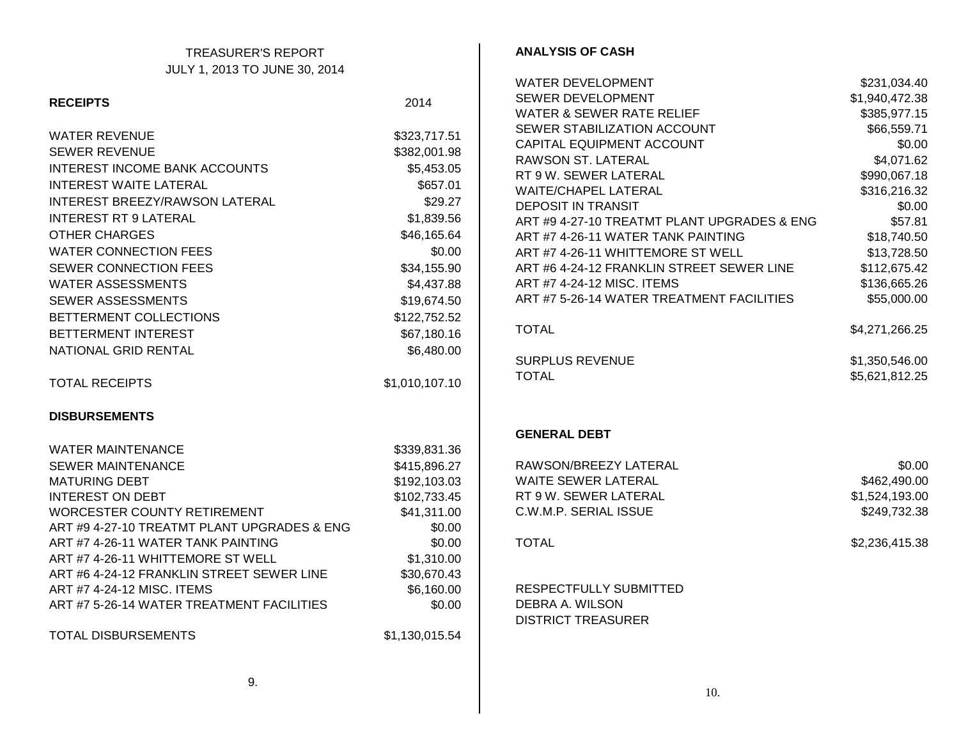| <b>TREASURER'S REPORT</b>                   |                | <b>ANALYSIS OF CASH</b>                     |                |
|---------------------------------------------|----------------|---------------------------------------------|----------------|
| JULY 1, 2013 TO JUNE 30, 2014               |                |                                             |                |
|                                             |                | WATER DEVELOPMENT                           | \$231,034.40   |
| <b>RECEIPTS</b>                             | 2014           | SEWER DEVELOPMENT                           | \$1,940,472.38 |
|                                             |                | <b>WATER &amp; SEWER RATE RELIEF</b>        | \$385,977.15   |
| <b>WATER REVENUE</b>                        | \$323,717.51   | SEWER STABILIZATION ACCOUNT                 | \$66,559.71    |
| <b>SEWER REVENUE</b>                        | \$382,001.98   | CAPITAL EQUIPMENT ACCOUNT                   | \$0.00         |
| INTEREST INCOME BANK ACCOUNTS               |                | RAWSON ST. LATERAL                          | \$4,071.62     |
|                                             | \$5,453.05     | RT 9 W. SEWER LATERAL                       | \$990,067.18   |
| <b>INTEREST WAITE LATERAL</b>               | \$657.01       | <b>WAITE/CHAPEL LATERAL</b>                 | \$316,216.32   |
| INTEREST BREEZY/RAWSON LATERAL              | \$29.27        | <b>DEPOSIT IN TRANSIT</b>                   | \$0.00         |
| <b>INTEREST RT 9 LATERAL</b>                | \$1,839.56     | ART #9 4-27-10 TREATMT PLANT UPGRADES & ENG | \$57.81        |
| <b>OTHER CHARGES</b>                        | \$46,165.64    | ART #7 4-26-11 WATER TANK PAINTING          | \$18,740.50    |
| <b>WATER CONNECTION FEES</b>                | \$0.00         | ART #7 4-26-11 WHITTEMORE ST WELL           | \$13,728.50    |
| SEWER CONNECTION FEES                       | \$34,155.90    | ART #6 4-24-12 FRANKLIN STREET SEWER LINE   | \$112,675.42   |
| <b>WATER ASSESSMENTS</b>                    | \$4,437.88     | ART #7 4-24-12 MISC. ITEMS                  | \$136,665.26   |
| <b>SEWER ASSESSMENTS</b>                    | \$19,674.50    | ART #7 5-26-14 WATER TREATMENT FACILITIES   | \$55,000.00    |
| BETTERMENT COLLECTIONS                      | \$122,752.52   |                                             |                |
| BETTERMENT INTEREST                         | \$67,180.16    | <b>TOTAL</b>                                | \$4,271,266.25 |
| NATIONAL GRID RENTAL                        | \$6,480.00     |                                             |                |
|                                             |                | <b>SURPLUS REVENUE</b>                      | \$1,350,546.00 |
| <b>TOTAL RECEIPTS</b>                       | \$1,010,107.10 | <b>TOTAL</b>                                | \$5,621,812.25 |
|                                             |                |                                             |                |
| <b>DISBURSEMENTS</b>                        |                |                                             |                |
|                                             |                | <b>GENERAL DEBT</b>                         |                |
| <b>WATER MAINTENANCE</b>                    | \$339,831.36   |                                             |                |
| <b>SEWER MAINTENANCE</b>                    | \$415,896.27   | RAWSON/BREEZY LATERAL                       | \$0.00         |
| <b>MATURING DEBT</b>                        | \$192,103.03   | WAITE SEWER LATERAL                         | \$462,490.00   |
| <b>INTEREST ON DEBT</b>                     | \$102,733.45   | RT 9 W. SEWER LATERAL                       | \$1,524,193.00 |
| <b>WORCESTER COUNTY RETIREMENT</b>          | \$41,311.00    | C.W.M.P. SERIAL ISSUE                       | \$249,732.38   |
| ART #9 4-27-10 TREATMT PLANT UPGRADES & ENG | \$0.00         |                                             |                |
| ART #7 4-26-11 WATER TANK PAINTING          | \$0.00         | <b>TOTAL</b>                                | \$2,236,415.38 |
| ART #7 4-26-11 WHITTEMORE ST WELL           | \$1,310.00     |                                             |                |
| ART #6 4-24-12 FRANKLIN STREET SEWER LINE   | \$30,670.43    |                                             |                |
| ART #7 4-24-12 MISC. ITEMS                  | \$6,160.00     | RESPECTFULLY SUBMITTED                      |                |
| ART #7 5-26-14 WATER TREATMENT FACILITIES   | \$0.00         | DEBRA A. WILSON                             |                |
|                                             |                | <b>DISTRICT TREASURER</b>                   |                |
| <b>TOTAL DISBURSEMENTS</b>                  | \$1,130,015.54 |                                             |                |
|                                             |                |                                             |                |
|                                             |                |                                             |                |